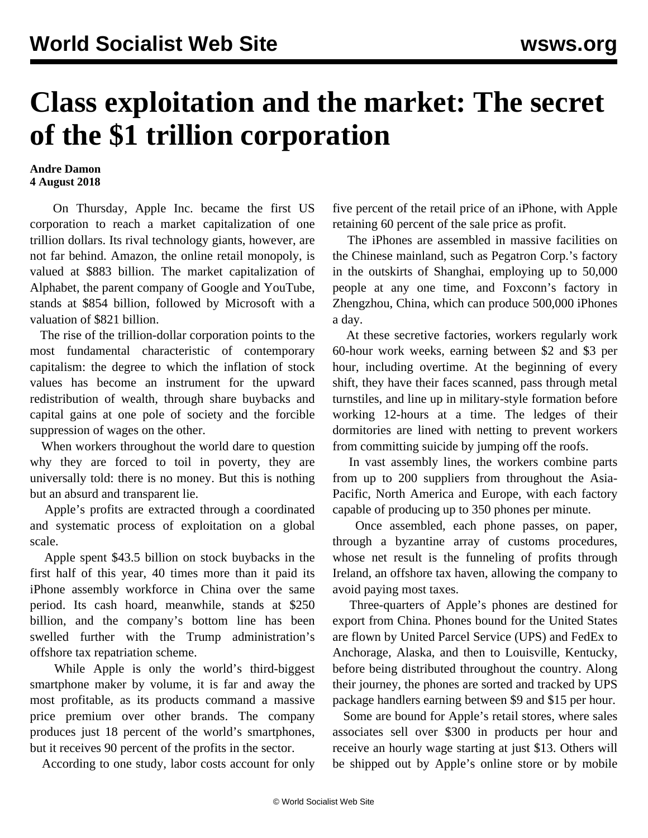## **Class exploitation and the market: The secret of the \$1 trillion corporation**

## **Andre Damon 4 August 2018**

 On Thursday, Apple Inc. became the first US corporation to reach a market capitalization of one trillion dollars. Its rival technology giants, however, are not far behind. Amazon, the online retail monopoly, is valued at \$883 billion. The market capitalization of Alphabet, the parent company of Google and YouTube, stands at \$854 billion, followed by Microsoft with a valuation of \$821 billion.

 The rise of the trillion-dollar corporation points to the most fundamental characteristic of contemporary capitalism: the degree to which the inflation of stock values has become an instrument for the upward redistribution of wealth, through share buybacks and capital gains at one pole of society and the forcible suppression of wages on the other.

 When workers throughout the world dare to question why they are forced to toil in poverty, they are universally told: there is no money. But this is nothing but an absurd and transparent lie.

 Apple's profits are extracted through a coordinated and systematic process of exploitation on a global scale.

 Apple spent \$43.5 billion on stock buybacks in the first half of this year, 40 times more than it paid its iPhone assembly workforce in China over the same period. Its cash hoard, meanwhile, stands at \$250 billion, and the company's bottom line has been swelled further with the Trump administration's offshore tax repatriation scheme.

 While Apple is only the world's third-biggest smartphone maker by volume, it is far and away the most profitable, as its products command a massive price premium over other brands. The company produces just 18 percent of the world's smartphones, but it receives 90 percent of the profits in the sector.

According to one study, labor costs account for only

five percent of the retail price of an iPhone, with Apple retaining 60 percent of the sale price as profit.

 The iPhones are assembled in massive facilities on the Chinese mainland, such as Pegatron Corp.'s factory in the outskirts of Shanghai, employing up to 50,000 people at any one time, and Foxconn's factory in Zhengzhou, China, which can produce 500,000 iPhones a day.

 At these secretive factories, workers regularly work 60-hour work weeks, earning between \$2 and \$3 per hour, including overtime. At the beginning of every shift, they have their faces scanned, pass through metal turnstiles, and line up in military-style formation before working 12-hours at a time. The ledges of their dormitories are lined with netting to prevent workers from committing suicide by jumping off the roofs.

 In vast assembly lines, the workers combine parts from up to 200 suppliers from throughout the Asia-Pacific, North America and Europe, with each factory capable of producing up to 350 phones per minute.

 Once assembled, each phone passes, on paper, through a byzantine array of customs procedures, whose net result is the funneling of profits through Ireland, an offshore tax haven, allowing the company to avoid paying most taxes.

 Three-quarters of Apple's phones are destined for export from China. Phones bound for the United States are flown by United Parcel Service (UPS) and FedEx to Anchorage, Alaska, and then to Louisville, Kentucky, before being distributed throughout the country. Along their journey, the phones are sorted and tracked by UPS package handlers earning between \$9 and \$15 per hour.

 Some are bound for Apple's retail stores, where sales associates sell over \$300 in products per hour and receive an hourly wage starting at just \$13. Others will be shipped out by Apple's online store or by mobile